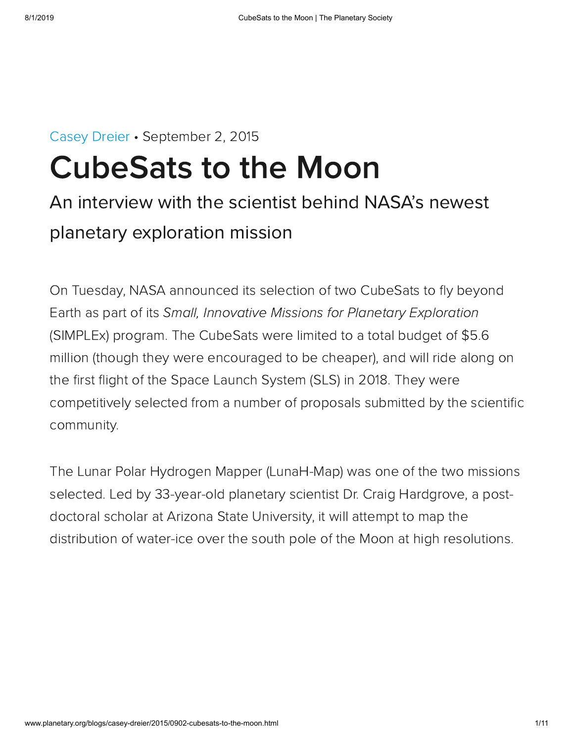# [Casey Dreier](http://www.planetary.org/about/staff/casey-dreier.html) • September 2, 2015 CubeSats to the Moon

# An interview with the scientist behind NASA's newest planetary exploration mission

On Tuesday, NASA announced its selection of two CubeSats to fly beyond Earth as part of its Small, Innovative Missions for Planetary Exploration (SIMPLEx) program. The CubeSats were limited to a total budget of \$5.6 million (though they were encouraged to be cheaper), and will ride along on the first flight of the Space Launch System (SLS) in 2018. They were competitively selected from a number of proposals submitted by the scientific community.

The Lunar Polar Hydrogen Mapper (LunaH-Map) was one of the two missions selected. Led by 33-year-old planetary scientist Dr. Craig Hardgrove, a postdoctoral scholar at Arizona State University, it will attempt to map the distribution of water-ice over the south pole of the Moon at high resolutions.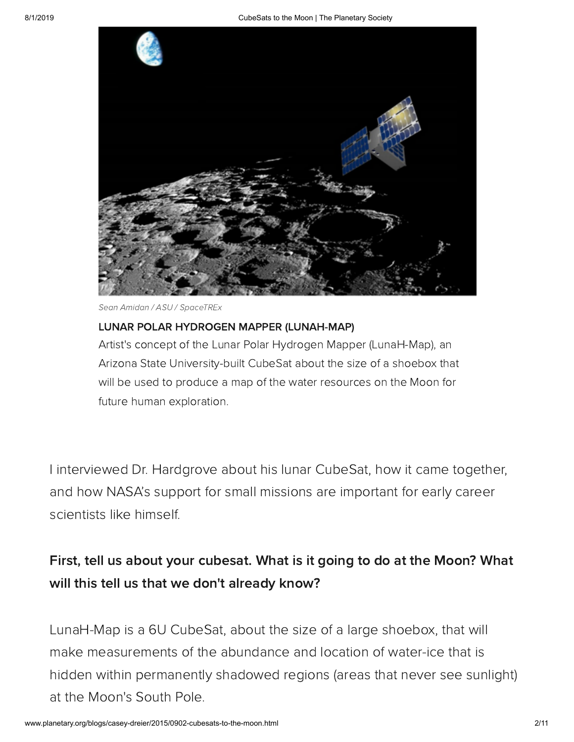

Sean Amidan / ASU / SpaceTREx

#### LUNAR POLAR HYDROGEN MAPPER (LUNAH-MAP)

Artist's concept of the Lunar Polar Hydrogen Mapper (LunaH-Map), an Arizona State University-built CubeSat about the size of a shoebox that will be used to produce a map of the water resources on the Moon for future human exploration.

I interviewed Dr. Hardgrove about his lunar CubeSat, how it came together, and how NASA's support for small missions are important for early career scientists like himself.

#### First, tell us about your cubesat. What is it going to do at the Moon? What will this tell us that we don't already know?

LunaH-Map is a 6U CubeSat, about the size of a large shoebox, that will make measurements of the abundance and location of water-ice that is hidden within permanently shadowed regions (areas that never see sunlight) at the Moon's South Pole.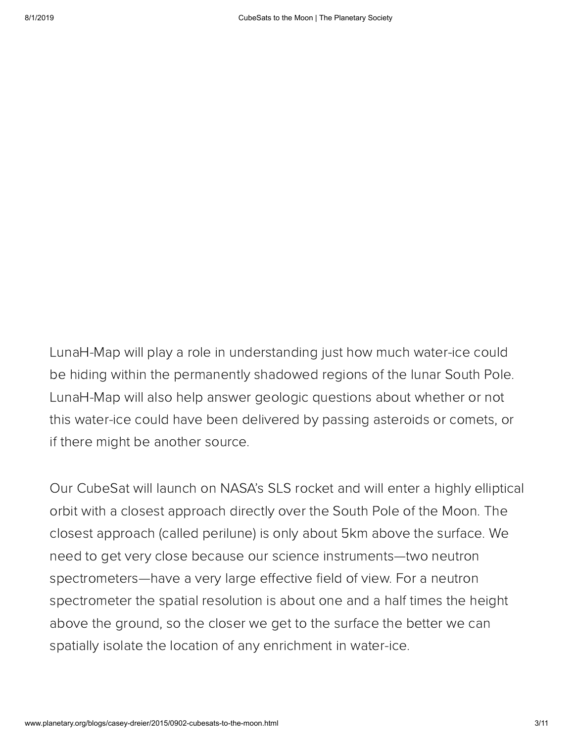LunaH-Map will play a role in understanding just how much water-ice could be hiding within the permanently shadowed regions of the lunar South Pole. LunaH-Map will also help answer geologic questions about whether or not this water-ice could have been delivered by passing asteroids or comets, or if there might be another source.

Our CubeSat will launch on NASA's SLS rocket and will enter a highly elliptical orbit with a closest approach directly over the South Pole of the Moon. The closest approach (called perilune) is only about 5km above the surface. We need to get very close because our science instruments—two neutron spectrometers—have a very large effective field of view. For a neutron spectrometer the spatial resolution is about one and a half times the height above the ground, so the closer we get to the surface the better we can spatially isolate the location of any enrichment in water-ice.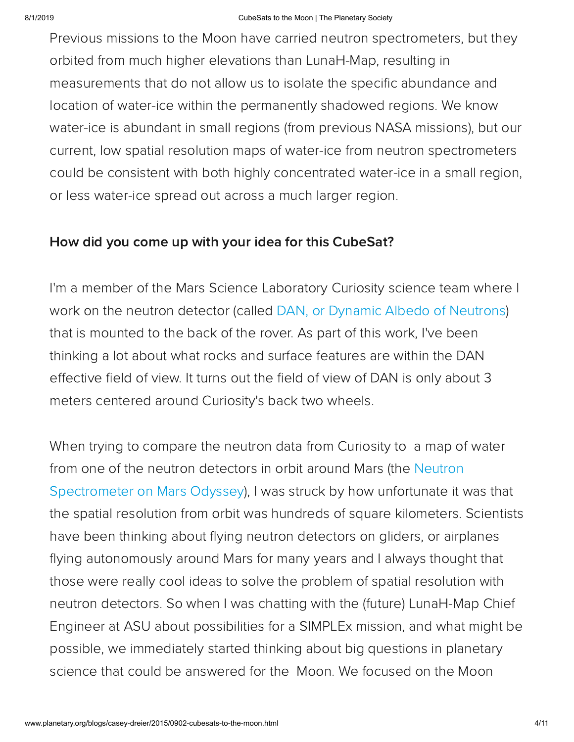#### 8/1/2019 CubeSats to the Moon | The Planetary Society

Previous missions to the Moon have carried neutron spectrometers, but they orbited from much higher elevations than LunaH-Map, resulting in measurements that do not allow us to isolate the specific abundance and location of water-ice within the permanently shadowed regions. We know water-ice is abundant in small regions (from previous NASA missions), but our current, low spatial resolution maps of water-ice from neutron spectrometers could be consistent with both highly concentrated water-ice in a small region, or less water-ice spread out across a much larger region.

#### How did you come up with your idea for this CubeSat?

I'm a member of the Mars Science Laboratory Curiosity science team where I work on the neutron detector (called DAN, or Dynamic Albedo of [Neutrons\)](https://msl-scicorner.jpl.nasa.gov/Instruments/DAN/) that is mounted to the back of the rover. As part of this work, I've been thinking a lot about what rocks and surface features are within the DAN effective field of view. It turns out the field of view of DAN is only about 3 meters centered around Curiosity's back two wheels.

When trying to compare the neutron data from Curiosity to a map of water from one of the neutron detectors in orbit around Mars (the Neutron [Spectrometer](http://mars.nasa.gov/odyssey/mission/instruments/grs/) on Mars Odyssey), I was struck by how unfortunate it was that the spatial resolution from orbit was hundreds of square kilometers. Scientists have been thinking about flying neutron detectors on gliders, or airplanes flying autonomously around Mars for many years and I always thought that those were really cool ideas to solve the problem of spatial resolution with neutron detectors. So when I was chatting with the (future) LunaH-Map Chief Engineer at ASU about possibilities for a SIMPLEx mission, and what might be possible, we immediately started thinking about big questions in planetary science that could be answered for the Moon. We focused on the Moon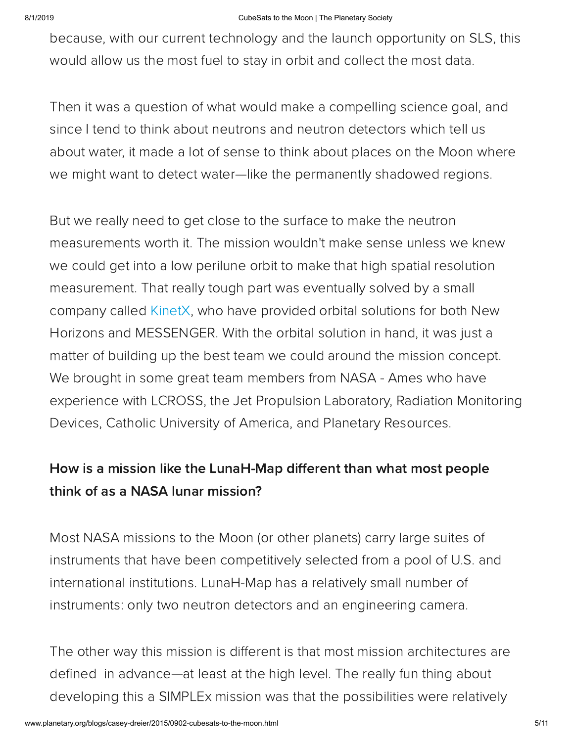#### 8/1/2019 CubeSats to the Moon | The Planetary Society

because, with our current technology and the launch opportunity on SLS, this would allow us the most fuel to stay in orbit and collect the most data.

Then it was a question of what would make a compelling science goal, and since I tend to think about neutrons and neutron detectors which tell us about water, it made a lot of sense to think about places on the Moon where we might want to detect water—like the permanently shadowed regions.

But we really need to get close to the surface to make the neutron measurements worth it. The mission wouldn't make sense unless we knew we could get into a low perilune orbit to make that high spatial resolution measurement. That really tough part was eventually solved by a small company called [KinetX,](http://www.kinetx.com/) who have provided orbital solutions for both New Horizons and MESSENGER. With the orbital solution in hand, it was just a matter of building up the best team we could around the mission concept. We brought in some great team members from NASA - Ames who have experience with LCROSS, the Jet Propulsion Laboratory, Radiation Monitoring Devices, Catholic University of America, and Planetary Resources.

### How is a mission like the LunaH-Map different than what most people think of as a NASA lunar mission?

Most NASA missions to the Moon (or other planets) carry large suites of instruments that have been competitively selected from a pool of U.S. and international institutions. LunaH-Map has a relatively small number of instruments: only two neutron detectors and an engineering camera.

The other way this mission is different is that most mission architectures are defined in advance—at least at the high level. The really fun thing about developing this a SIMPLEx mission was that the possibilities were relatively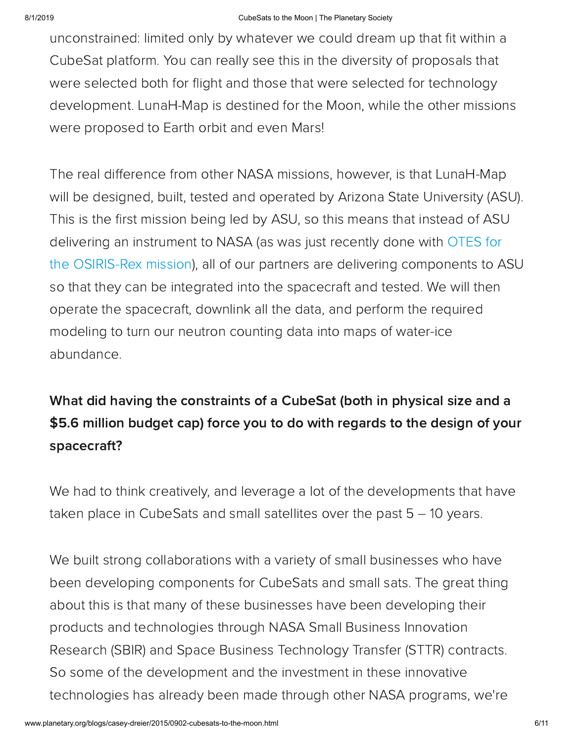unconstrained: limited only by whatever we could dream up that fit within a CubeSat platform. You can really see this in the diversity of proposals that were selected both for flight and those that were selected for technology development. LunaH-Map is destined for the Moon, while the other missions were proposed to Earth orbit and even Mars!

The real difference from other NASA missions, however, is that LunaH-Map will be designed, built, tested and operated by Arizona State University (ASU). This is the first mission being led by ASU, so this means that instead of ASU delivering an instrument to NASA (as was just recently done with OTES for the OSIRIS-Rex mission), all of our partners are delivering [components](http://www.asteroidmission.org/instrumentation/#OTES) to ASU so that they can be integrated into the spacecraft and tested. We will then operate the spacecraft, downlink all the data, and perform the required modeling to turn our neutron counting data into maps of water-ice abundance.

## What did having the constraints of a CubeSat (both in physical size and a \$5.6 million budget cap) force you to do with regards to the design of your spacecraft?

We had to think creatively, and leverage a lot of the developments that have taken place in CubeSats and small satellites over the past 5 – 10 years.

We built strong collaborations with a variety of small businesses who have been developing components for CubeSats and small sats. The great thing about this is that many of these businesses have been developing their products and technologies through NASA Small Business Innovation Research (SBIR) and Space Business Technology Transfer (STTR) contracts. So some of the development and the investment in these innovative technologies has already been made through other NASA programs, we're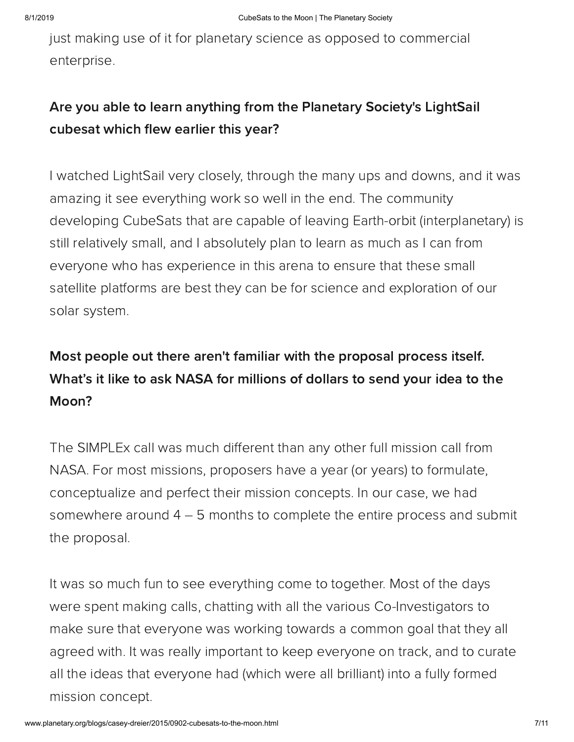just making use of it for planetary science as opposed to commercial enterprise.

### Are you able to learn anything from the Planetary Society's LightSail cubesat which flew earlier this year?

I watched LightSail very closely, through the many ups and downs, and it was amazing it see everything work so well in the end. The community developing CubeSats that are capable of leaving Earth-orbit (interplanetary) is still relatively small, and I absolutely plan to learn as much as I can from everyone who has experience in this arena to ensure that these small satellite platforms are best they can be for science and exploration of our solar system.

## Most people out there aren't familiar with the proposal process itself. What's it like to ask NASA for millions of dollars to send your idea to the Moon?

The SIMPLEx call was much different than any other full mission call from NASA. For most missions, proposers have a year (or years) to formulate, conceptualize and perfect their mission concepts. In our case, we had somewhere around 4 – 5 months to complete the entire process and submit the proposal.

It was so much fun to see everything come to together. Most of the days were spent making calls, chatting with all the various Co-Investigators to make sure that everyone was working towards a common goal that they all agreed with. It was really important to keep everyone on track, and to curate all the ideas that everyone had (which were all brilliant) into a fully formed mission concept.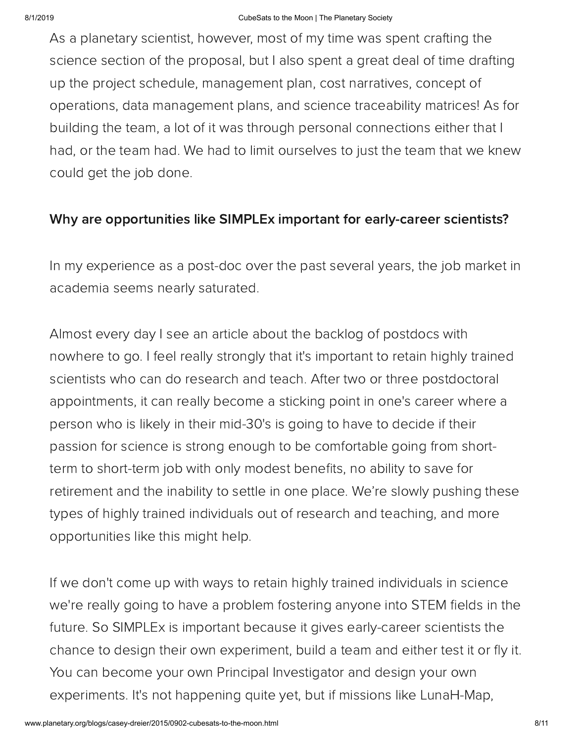As a planetary scientist, however, most of my time was spent crafting the science section of the proposal, but I also spent a great deal of time drafting up the project schedule, management plan, cost narratives, concept of operations, data management plans, and science traceability matrices! As for building the team, a lot of it was through personal connections either that I had, or the team had. We had to limit ourselves to just the team that we knew could get the job done.

#### Why are opportunities like SIMPLEx important for early-career scientists?

In my experience as a post-doc over the past several years, the job market in academia seems nearly saturated.

Almost every day I see an article about the backlog of postdocs with nowhere to go. I feel really strongly that it's important to retain highly trained scientists who can do research and teach. After two or three postdoctoral appointments, it can really become a sticking point in one's career where a person who is likely in their mid-30's is going to have to decide if their passion for science is strong enough to be comfortable going from shortterm to short-term job with only modest benefits, no ability to save for retirement and the inability to settle in one place. We're slowly pushing these types of highly trained individuals out of research and teaching, and more opportunities like this might help.

If we don't come up with ways to retain highly trained individuals in science we're really going to have a problem fostering anyone into STEM fields in the future. So SIMPLEx is important because it gives early-career scientists the chance to design their own experiment, build a team and either test it or fly it. You can become your own Principal Investigator and design your own experiments. It's not happening quite yet, but if missions like LunaH-Map,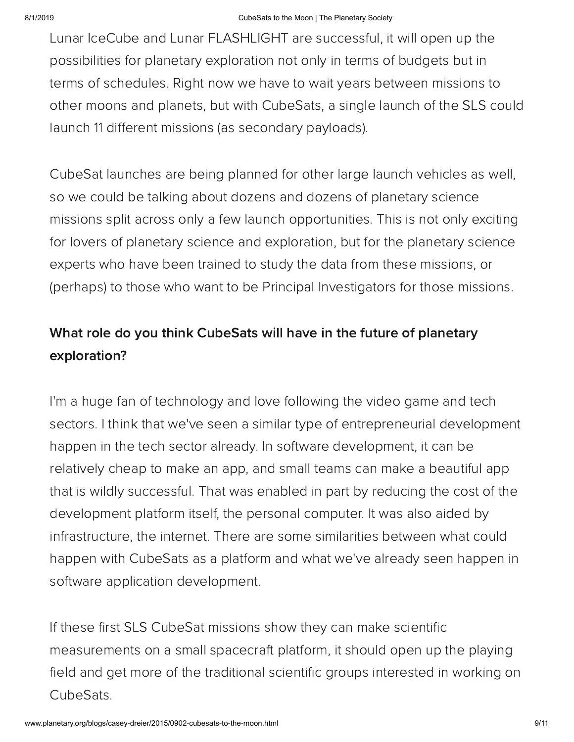Lunar IceCube and Lunar FLASHLIGHT are successful, it will open up the possibilities for planetary exploration not only in terms of budgets but in terms of schedules. Right now we have to wait years between missions to other moons and planets, but with CubeSats, a single launch of the SLS could launch 11 different missions (as secondary payloads).

CubeSat launches are being planned for other large launch vehicles as well, so we could be talking about dozens and dozens of planetary science missions split across only a few launch opportunities. This is not only exciting for lovers of planetary science and exploration, but for the planetary science experts who have been trained to study the data from these missions, or (perhaps) to those who want to be Principal Investigators for those missions.

### What role do you think CubeSats will have in the future of planetary exploration?

I'm a huge fan of technology and love following the video game and tech sectors. I think that we've seen a similar type of entrepreneurial development happen in the tech sector already. In software development, it can be relatively cheap to make an app, and small teams can make a beautiful app that is wildly successful. That was enabled in part by reducing the cost of the development platform itself, the personal computer. It was also aided by infrastructure, the internet. There are some similarities between what could happen with CubeSats as a platform and what we've already seen happen in software application development.

If these first SLS CubeSat missions show they can make scientific measurements on a small spacecraft platform, it should open up the playing field and get more of the traditional scientific groups interested in working on CubeSats.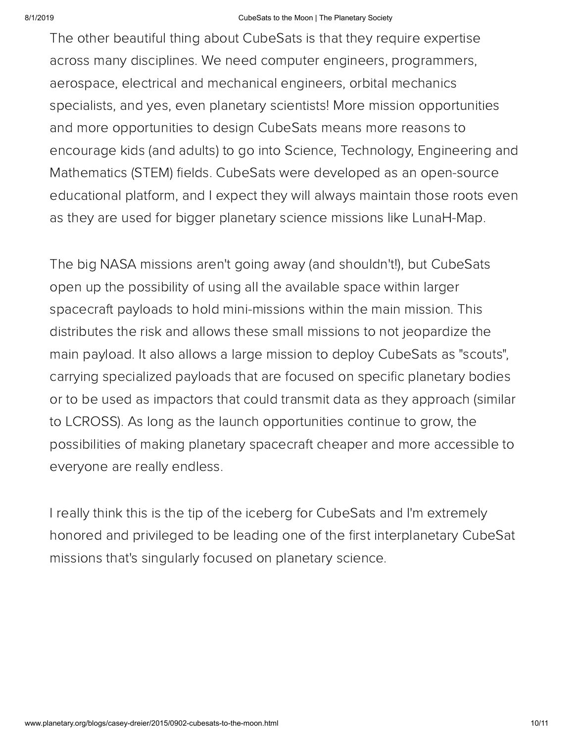#### 8/1/2019 CubeSats to the Moon | The Planetary Society

The other beautiful thing about CubeSats is that they require expertise across many disciplines. We need computer engineers, programmers, aerospace, electrical and mechanical engineers, orbital mechanics specialists, and yes, even planetary scientists! More mission opportunities and more opportunities to design CubeSats means more reasons to encourage kids (and adults) to go into Science, Technology, Engineering and Mathematics (STEM) fields. CubeSats were developed as an open-source educational platform, and I expect they will always maintain those roots even as they are used for bigger planetary science missions like LunaH-Map.

The big NASA missions aren't going away (and shouldn't!), but CubeSats open up the possibility of using all the available space within larger spacecraft payloads to hold mini-missions within the main mission. This distributes the risk and allows these small missions to not jeopardize the main payload. It also allows a large mission to deploy CubeSats as "scouts", carrying specialized payloads that are focused on specific planetary bodies or to be used as impactors that could transmit data as they approach (similar to LCROSS). As long as the launch opportunities continue to grow, the possibilities of making planetary spacecraft cheaper and more accessible to everyone are really endless.

I really think this is the tip of the iceberg for CubeSats and I'm extremely honored and privileged to be leading one of the first interplanetary CubeSat missions that's singularly focused on planetary science.